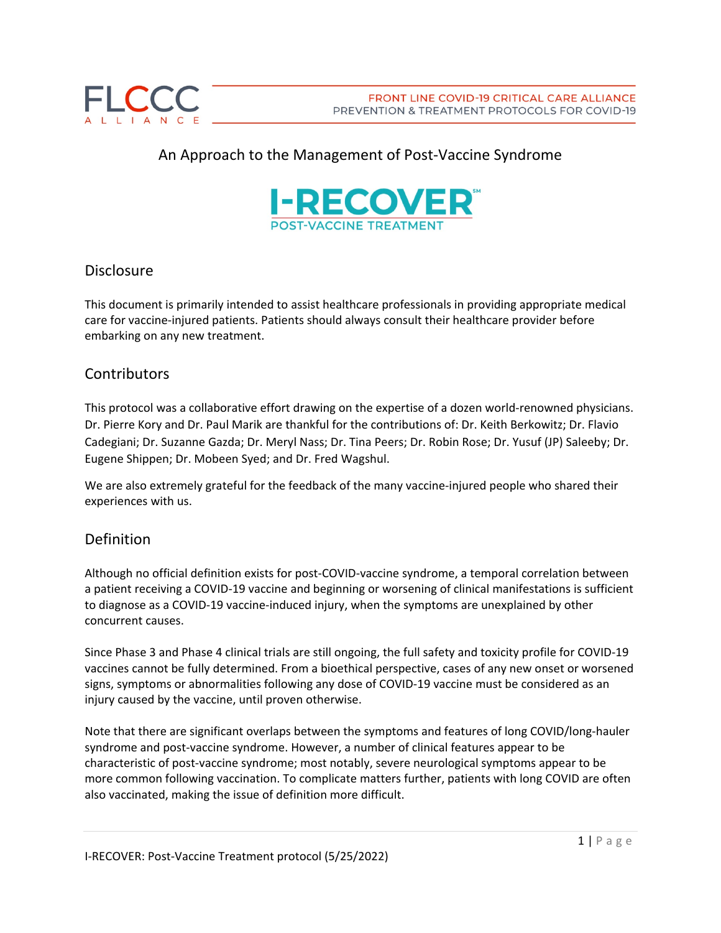

# An Approach to the Management of Post-Vaccine Syndrome



#### Disclosure

This document is primarily intended to assist healthcare professionals in providing appropriate medical care for vaccine-injured patients. Patients should always consult their healthcare provider before embarking on any new treatment.

#### **Contributors**

This protocol was a collaborative effort drawing on the expertise of a dozen world-renowned physicians. Dr. Pierre Kory and Dr. Paul Marik are thankful for the contributions of: Dr. Keith Berkowitz; Dr. Flavio Cadegiani; Dr. Suzanne Gazda; Dr. Meryl Nass; Dr. Tina Peers; Dr. Robin Rose; Dr. Yusuf (JP) Saleeby; Dr. Eugene Shippen; Dr. Mobeen Syed; and Dr. Fred Wagshul.

We are also extremely grateful for the feedback of the many vaccine-injured people who shared their experiences with us.

#### Definition

Although no official definition exists for post-COVID-vaccine syndrome, a temporal correlation between a patient receiving a COVID-19 vaccine and beginning or worsening of clinical manifestations is sufficient to diagnose as a COVID-19 vaccine-induced injury, when the symptoms are unexplained by other concurrent causes.

Since Phase 3 and Phase 4 clinical trials are still ongoing, the full safety and toxicity profile for COVID-19 vaccines cannot be fully determined. From a bioethical perspective, cases of any new onset or worsened signs, symptoms or abnormalities following any dose of COVID-19 vaccine must be considered as an injury caused by the vaccine, until proven otherwise.

Note that there are significant overlaps between the symptoms and features of long COVID/long-hauler syndrome and post-vaccine syndrome. However, a number of clinical features appear to be characteristic of post-vaccine syndrome; most notably, severe neurological symptoms appear to be more common following vaccination. To complicate matters further, patients with long COVID are often also vaccinated, making the issue of definition more difficult.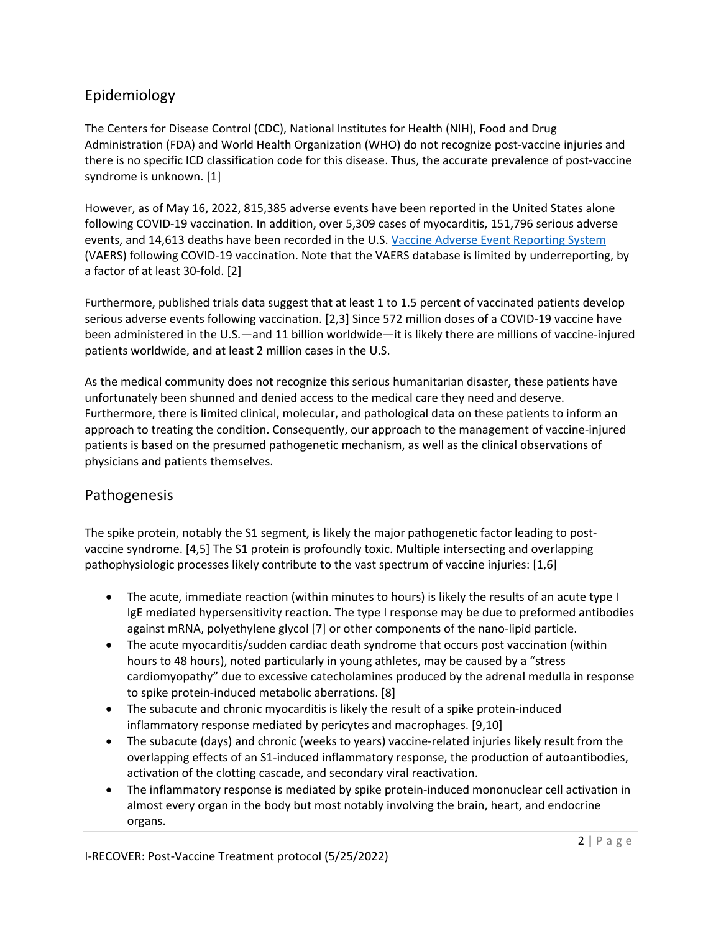# Epidemiology

The Centers for Disease Control (CDC), National Institutes for Health (NIH), Food and Drug Administration (FDA) and World Health Organization (WHO) do not recognize post-vaccine injuries and there is no specific ICD classification code for this disease. Thus, the accurate prevalence of post-vaccine syndrome is unknown. [1]

However, as of May 16, 2022, 815,385 adverse events have been reported in the United States alone following COVID-19 vaccination. In addition, over 5,309 cases of myocarditis, 151,796 serious adverse events, and 14,613 deaths have been recorded in the U.S. [Vaccine Adverse Event Reporting System](https://vaers.hhs.gov/) (VAERS) following COVID-19 vaccination. Note that the VAERS database is limited by underreporting, by a factor of at least 30-fold. [2]

Furthermore, published trials data suggest that at least 1 to 1.5 percent of vaccinated patients develop serious adverse events following vaccination. [2,3] Since 572 million doses of a COVID-19 vaccine have been administered in the U.S.—and 11 billion worldwide—it is likely there are millions of vaccine-injured patients worldwide, and at least 2 million cases in the U.S.

As the medical community does not recognize this serious humanitarian disaster, these patients have unfortunately been shunned and denied access to the medical care they need and deserve. Furthermore, there is limited clinical, molecular, and pathological data on these patients to inform an approach to treating the condition. Consequently, our approach to the management of vaccine-injured patients is based on the presumed pathogenetic mechanism, as well as the clinical observations of physicians and patients themselves.

## Pathogenesis

The spike protein, notably the S1 segment, is likely the major pathogenetic factor leading to postvaccine syndrome. [4,5] The S1 protein is profoundly toxic. Multiple intersecting and overlapping pathophysiologic processes likely contribute to the vast spectrum of vaccine injuries: [1,6]

- The acute, immediate reaction (within minutes to hours) is likely the results of an acute type I IgE mediated hypersensitivity reaction. The type I response may be due to preformed antibodies against mRNA, polyethylene glycol [7] or other components of the nano-lipid particle.
- The acute myocarditis/sudden cardiac death syndrome that occurs post vaccination (within hours to 48 hours), noted particularly in young athletes, may be caused by a "stress cardiomyopathy" due to excessive catecholamines produced by the adrenal medulla in response to spike protein-induced metabolic aberrations. [8]
- The subacute and chronic myocarditis is likely the result of a spike protein-induced inflammatory response mediated by pericytes and macrophages. [9,10]
- The subacute (days) and chronic (weeks to years) vaccine-related injuries likely result from the overlapping effects of an S1-induced inflammatory response, the production of autoantibodies, activation of the clotting cascade, and secondary viral reactivation.
- The inflammatory response is mediated by spike protein-induced mononuclear cell activation in almost every organ in the body but most notably involving the brain, heart, and endocrine organs.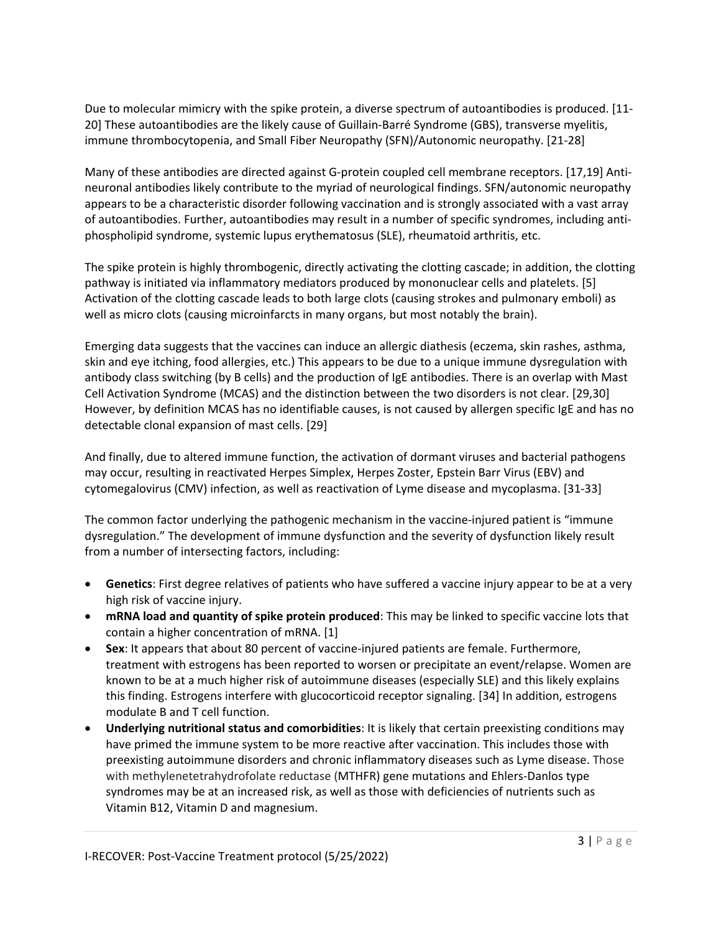Due to molecular mimicry with the spike protein, a diverse spectrum of autoantibodies is produced. [11- 20] These autoantibodies are the likely cause of Guillain-Barré Syndrome (GBS), transverse myelitis, immune thrombocytopenia, and Small Fiber Neuropathy (SFN)/Autonomic neuropathy. [21-28]

Many of these antibodies are directed against G-protein coupled cell membrane receptors. [17,19] Antineuronal antibodies likely contribute to the myriad of neurological findings. SFN/autonomic neuropathy appears to be a characteristic disorder following vaccination and is strongly associated with a vast array of autoantibodies. Further, autoantibodies may result in a number of specific syndromes, including antiphospholipid syndrome, systemic lupus erythematosus (SLE), rheumatoid arthritis, etc.

The spike protein is highly thrombogenic, directly activating the clotting cascade; in addition, the clotting pathway is initiated via inflammatory mediators produced by mononuclear cells and platelets. [5] Activation of the clotting cascade leads to both large clots (causing strokes and pulmonary emboli) as well as micro clots (causing microinfarcts in many organs, but most notably the brain).

Emerging data suggests that the vaccines can induce an allergic diathesis (eczema, skin rashes, asthma, skin and eye itching, food allergies, etc.) This appears to be due to a unique immune dysregulation with antibody class switching (by B cells) and the production of IgE antibodies. There is an overlap with Mast Cell Activation Syndrome (MCAS) and the distinction between the two disorders is not clear. [29,30] However, by definition MCAS has no identifiable causes, is not caused by allergen specific IgE and has no detectable clonal expansion of mast cells. [29]

And finally, due to altered immune function, the activation of dormant viruses and bacterial pathogens may occur, resulting in reactivated Herpes Simplex, Herpes Zoster, Epstein Barr Virus (EBV) and cytomegalovirus (CMV) infection, as well as reactivation of Lyme disease and mycoplasma. [31-33]

The common factor underlying the pathogenic mechanism in the vaccine-injured patient is "immune dysregulation." The development of immune dysfunction and the severity of dysfunction likely result from a number of intersecting factors, including:

- **Genetics**: First degree relatives of patients who have suffered a vaccine injury appear to be at a very high risk of vaccine injury.
- **mRNA load and quantity of spike protein produced**: This may be linked to specific vaccine lots that contain a higher concentration of mRNA. [1]
- **Sex**: It appears that about 80 percent of vaccine-injured patients are female. Furthermore, treatment with estrogens has been reported to worsen or precipitate an event/relapse. Women are known to be at a much higher risk of autoimmune diseases (especially SLE) and this likely explains this finding. Estrogens interfere with glucocorticoid receptor signaling. [34] In addition, estrogens modulate B and T cell function.
- **Underlying nutritional status and comorbidities**: It is likely that certain preexisting conditions may have primed the immune system to be more reactive after vaccination. This includes those with preexisting autoimmune disorders and chronic inflammatory diseases such as Lyme disease. Those with methylenetetrahydrofolate reductase (MTHFR) gene mutations and Ehlers-Danlos type syndromes may be at an increased risk, as well as those with deficiencies of nutrients such as Vitamin B12, Vitamin D and magnesium.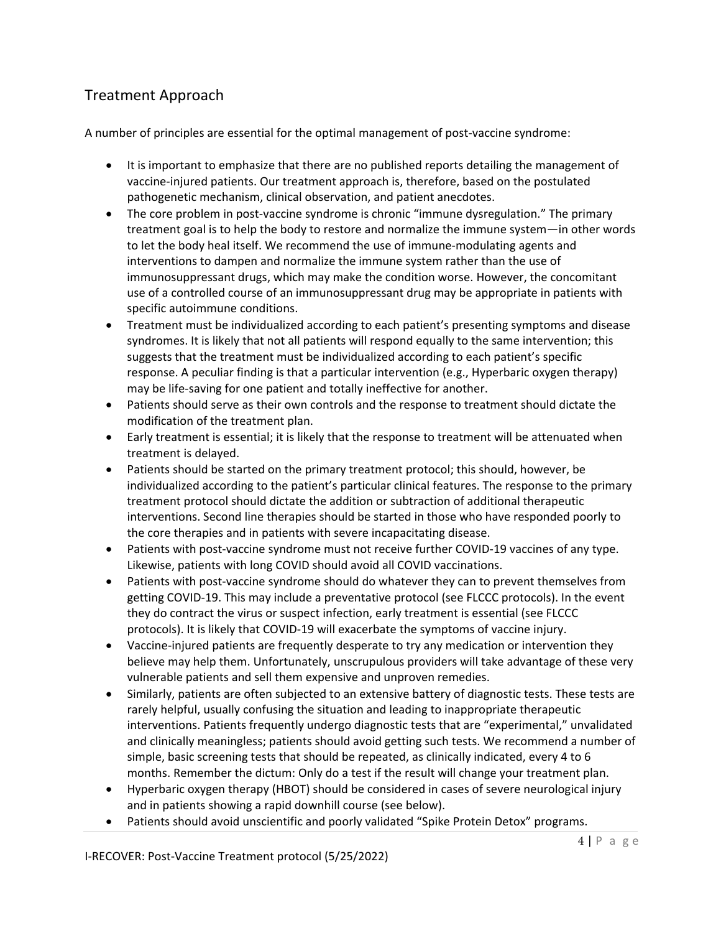# Treatment Approach

A number of principles are essential for the optimal management of post-vaccine syndrome:

- It is important to emphasize that there are no published reports detailing the management of vaccine-injured patients. Our treatment approach is, therefore, based on the postulated pathogenetic mechanism, clinical observation, and patient anecdotes.
- The core problem in post-vaccine syndrome is chronic "immune dysregulation." The primary treatment goal is to help the body to restore and normalize the immune system—in other words to let the body heal itself. We recommend the use of immune-modulating agents and interventions to dampen and normalize the immune system rather than the use of immunosuppressant drugs, which may make the condition worse. However, the concomitant use of a controlled course of an immunosuppressant drug may be appropriate in patients with specific autoimmune conditions.
- Treatment must be individualized according to each patient's presenting symptoms and disease syndromes. It is likely that not all patients will respond equally to the same intervention; this suggests that the treatment must be individualized according to each patient's specific response. A peculiar finding is that a particular intervention (e.g., Hyperbaric oxygen therapy) may be life-saving for one patient and totally ineffective for another.
- Patients should serve as their own controls and the response to treatment should dictate the modification of the treatment plan.
- Early treatment is essential; it is likely that the response to treatment will be attenuated when treatment is delayed.
- Patients should be started on the primary treatment protocol; this should, however, be individualized according to the patient's particular clinical features. The response to the primary treatment protocol should dictate the addition or subtraction of additional therapeutic interventions. Second line therapies should be started in those who have responded poorly to the core therapies and in patients with severe incapacitating disease.
- Patients with post-vaccine syndrome must not receive further COVID-19 vaccines of any type. Likewise, patients with long COVID should avoid all COVID vaccinations.
- Patients with post-vaccine syndrome should do whatever they can to prevent themselves from getting COVID-19. This may include a preventative protocol (see FLCCC protocols). In the event they do contract the virus or suspect infection, early treatment is essential (see FLCCC protocols). It is likely that COVID-19 will exacerbate the symptoms of vaccine injury.
- Vaccine-injured patients are frequently desperate to try any medication or intervention they believe may help them. Unfortunately, unscrupulous providers will take advantage of these very vulnerable patients and sell them expensive and unproven remedies.
- Similarly, patients are often subjected to an extensive battery of diagnostic tests. These tests are rarely helpful, usually confusing the situation and leading to inappropriate therapeutic interventions. Patients frequently undergo diagnostic tests that are "experimental," unvalidated and clinically meaningless; patients should avoid getting such tests. We recommend a number of simple, basic screening tests that should be repeated, as clinically indicated, every 4 to 6 months. Remember the dictum: Only do a test if the result will change your treatment plan.
- Hyperbaric oxygen therapy (HBOT) should be considered in cases of severe neurological injury and in patients showing a rapid downhill course (see below).
- Patients should avoid unscientific and poorly validated "Spike Protein Detox" programs.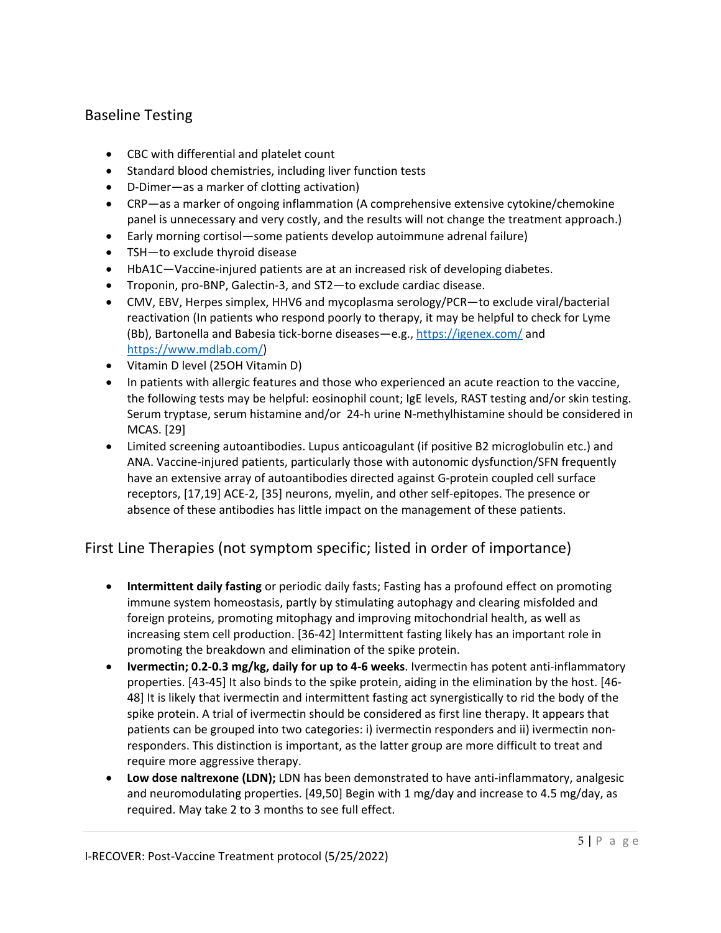## Baseline Testing

- CBC with differential and platelet count
- Standard blood chemistries, including liver function tests
- D-Dimer—as a marker of clotting activation)
- CRP—as a marker of ongoing inflammation (A comprehensive extensive cytokine/chemokine panel is unnecessary and very costly, and the results will not change the treatment approach.)
- Early morning cortisol—some patients develop autoimmune adrenal failure)
- TSH—to exclude thyroid disease
- HbA1C—Vaccine-injured patients are at an increased risk of developing diabetes.
- Troponin, pro-BNP, Galectin-3, and ST2—to exclude cardiac disease.
- CMV, EBV, Herpes simplex, HHV6 and mycoplasma serology/PCR—to exclude viral/bacterial reactivation (In patients who respond poorly to therapy, it may be helpful to check for Lyme (Bb), Bartonella and Babesia tick-borne diseases—e.g.,<https://igenex.com/> and [https://www.mdlab.com/\)](https://www.mdlab.com/)
- Vitamin D level (25OH Vitamin D)
- In patients with allergic features and those who experienced an acute reaction to the vaccine, the following tests may be helpful: eosinophil count; IgE levels, RAST testing and/or skin testing. Serum tryptase, serum histamine and/or 24-h urine N-methylhistamine should be considered in MCAS. [29]
- Limited screening autoantibodies. Lupus anticoagulant (if positive B2 microglobulin etc.) and ANA. Vaccine-injured patients, particularly those with autonomic dysfunction/SFN frequently have an extensive array of autoantibodies directed against G-protein coupled cell surface receptors, [17,19] ACE-2, [35] neurons, myelin, and other self-epitopes. The presence or absence of these antibodies has little impact on the management of these patients.

# First Line Therapies (not symptom specific; listed in order of importance)

- **Intermittent daily fasting** or periodic daily fasts; Fasting has a profound effect on promoting immune system homeostasis, partly by stimulating autophagy and clearing misfolded and foreign proteins, promoting mitophagy and improving mitochondrial health, as well as increasing stem cell production. [36-42] Intermittent fasting likely has an important role in promoting the breakdown and elimination of the spike protein.
- **Ivermectin; 0.2-0.3 mg/kg, daily for up to 4-6 weeks**. Ivermectin has potent anti-inflammatory properties. [43-45] It also binds to the spike protein, aiding in the elimination by the host. [46- 48] It is likely that ivermectin and intermittent fasting act synergistically to rid the body of the spike protein. A trial of ivermectin should be considered as first line therapy. It appears that patients can be grouped into two categories: i) ivermectin responders and ii) ivermectin nonresponders. This distinction is important, as the latter group are more difficult to treat and require more aggressive therapy.
- **Low dose naltrexone (LDN);** LDN has been demonstrated to have anti-inflammatory, analgesic and neuromodulating properties. [49,50] Begin with 1 mg/day and increase to 4.5 mg/day, as required. May take 2 to 3 months to see full effect.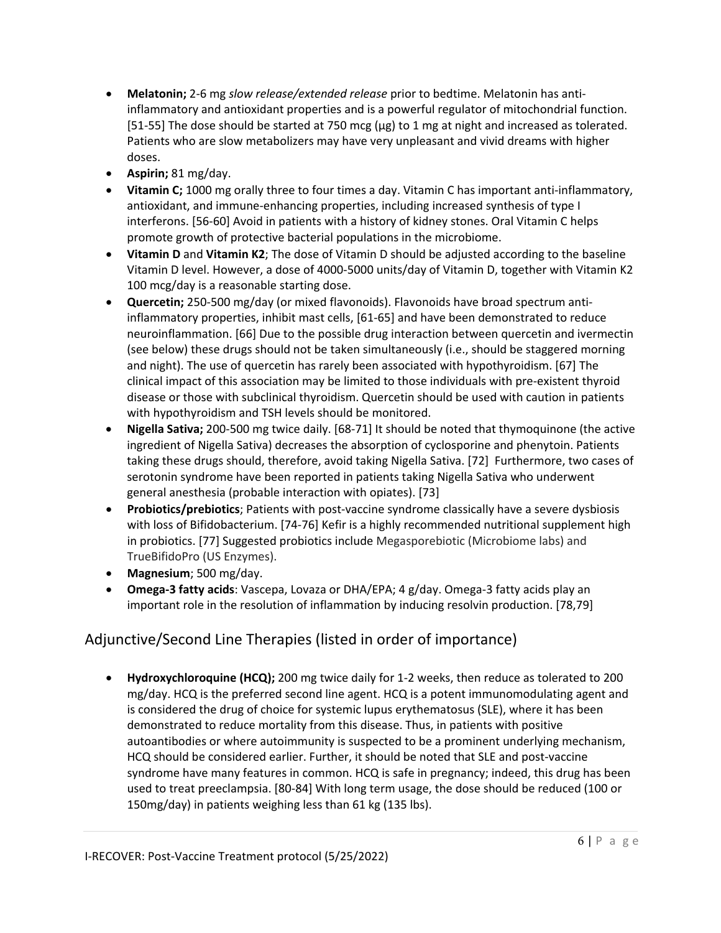- **Melatonin;** 2-6 mg *slow release/extended release* prior to bedtime. Melatonin has antiinflammatory and antioxidant properties and is a powerful regulator of mitochondrial function. [51-55] The dose should be started at 750 mcg ( $\mu$ g) to 1 mg at night and increased as tolerated. Patients who are slow metabolizers may have very unpleasant and vivid dreams with higher doses.
- **Aspirin;** 81 mg/day.
- **Vitamin C;** 1000 mg orally three to four times a day. Vitamin C has important anti-inflammatory, antioxidant, and immune-enhancing properties, including increased synthesis of type I interferons. [56-60] Avoid in patients with a history of kidney stones. Oral Vitamin C helps promote growth of protective bacterial populations in the microbiome.
- **Vitamin D** and **Vitamin K2**; The dose of Vitamin D should be adjusted according to the baseline Vitamin D level. However, a dose of 4000-5000 units/day of Vitamin D, together with Vitamin K2 100 mcg/day is a reasonable starting dose.
- **Quercetin;** 250-500 mg/day (or mixed flavonoids). Flavonoids have broad spectrum antiinflammatory properties, inhibit mast cells, [61-65] and have been demonstrated to reduce neuroinflammation. [66] Due to the possible drug interaction between quercetin and ivermectin (see below) these drugs should not be taken simultaneously (i.e., should be staggered morning and night). The use of quercetin has rarely been associated with hypothyroidism. [67] The clinical impact of this association may be limited to those individuals with pre-existent thyroid disease or those with subclinical thyroidism. Quercetin should be used with caution in patients with hypothyroidism and TSH levels should be monitored.
- **Nigella Sativa;** 200-500 mg twice daily. [68-71] It should be noted that thymoquinone (the active ingredient of Nigella Sativa) decreases the absorption of cyclosporine and phenytoin. Patients taking these drugs should, therefore, avoid taking Nigella Sativa. [72] Furthermore, two cases of serotonin syndrome have been reported in patients taking Nigella Sativa who underwent general anesthesia (probable interaction with opiates). [73]
- **Probiotics/prebiotics**; Patients with post-vaccine syndrome classically have a severe dysbiosis with loss of Bifidobacterium. [74-76] Kefir is a highly recommended nutritional supplement high in probiotics. [77] Suggested probiotics include Megasporebiotic (Microbiome labs) and TrueBifidoPro (US Enzymes).
- **Magnesium**; 500 mg/day.
- **Omega-3 fatty acids**: Vascepa, Lovaza or DHA/EPA; 4 g/day. Omega-3 fatty acids play an important role in the resolution of inflammation by inducing resolvin production. [78,79]

# Adjunctive/Second Line Therapies (listed in order of importance)

• **Hydroxychloroquine (HCQ);** 200 mg twice daily for 1-2 weeks, then reduce as tolerated to 200 mg/day. HCQ is the preferred second line agent. HCQ is a potent immunomodulating agent and is considered the drug of choice for systemic lupus erythematosus (SLE), where it has been demonstrated to reduce mortality from this disease. Thus, in patients with positive autoantibodies or where autoimmunity is suspected to be a prominent underlying mechanism, HCQ should be considered earlier. Further, it should be noted that SLE and post-vaccine syndrome have many features in common. HCQ is safe in pregnancy; indeed, this drug has been used to treat preeclampsia. [80-84] With long term usage, the dose should be reduced (100 or 150mg/day) in patients weighing less than 61 kg (135 lbs).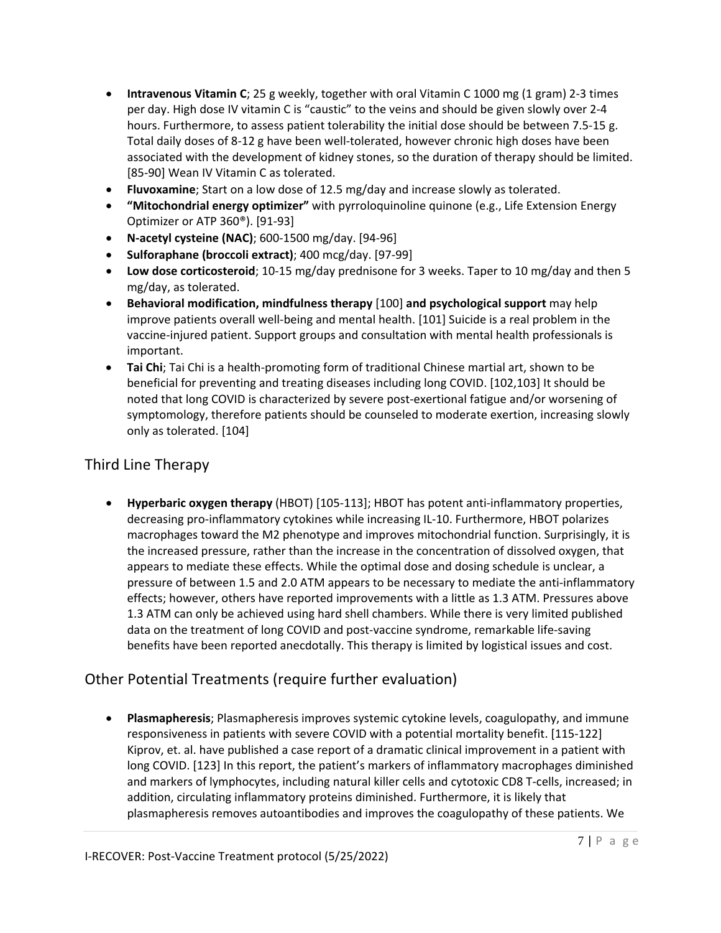- **Intravenous Vitamin C**; 25 g weekly, together with oral Vitamin C 1000 mg (1 gram) 2-3 times per day. High dose IV vitamin C is "caustic" to the veins and should be given slowly over 2-4 hours. Furthermore, to assess patient tolerability the initial dose should be between 7.5-15 g. Total daily doses of 8-12 g have been well-tolerated, however chronic high doses have been associated with the development of kidney stones, so the duration of therapy should be limited. [85-90] Wean IV Vitamin C as tolerated.
- **Fluvoxamine**; Start on a low dose of 12.5 mg/day and increase slowly as tolerated.
- **"Mitochondrial energy optimizer"** with pyrroloquinoline quinone (e.g., Life Extension Energy Optimizer or ATP 360®). [91-93]
- **N-acetyl cysteine (NAC)**; 600-1500 mg/day. [94-96]
- **Sulforaphane (broccoli extract)**; 400 mcg/day. [97-99]
- **Low dose corticosteroid**; 10-15 mg/day prednisone for 3 weeks. Taper to 10 mg/day and then 5 mg/day, as tolerated.
- **Behavioral modification, mindfulness therapy** [100] **and psychological support** may help improve patients overall well-being and mental health. [101] Suicide is a real problem in the vaccine-injured patient. Support groups and consultation with mental health professionals is important.
- **Tai Chi**; Tai Chi is a health-promoting form of traditional Chinese martial art, shown to be beneficial for preventing and treating diseases including long COVID. [102,103] It should be noted that long COVID is characterized by severe post-exertional fatigue and/or worsening of symptomology, therefore patients should be counseled to moderate exertion, increasing slowly only as tolerated. [104]

## Third Line Therapy

• **Hyperbaric oxygen therapy** (HBOT) [105-113]; HBOT has potent anti-inflammatory properties, decreasing pro-inflammatory cytokines while increasing IL-10. Furthermore, HBOT polarizes macrophages toward the M2 phenotype and improves mitochondrial function. Surprisingly, it is the increased pressure, rather than the increase in the concentration of dissolved oxygen, that appears to mediate these effects. While the optimal dose and dosing schedule is unclear, a pressure of between 1.5 and 2.0 ATM appears to be necessary to mediate the anti-inflammatory effects; however, others have reported improvements with a little as 1.3 ATM. Pressures above 1.3 ATM can only be achieved using hard shell chambers. While there is very limited published data on the treatment of long COVID and post-vaccine syndrome, remarkable life-saving benefits have been reported anecdotally. This therapy is limited by logistical issues and cost.

# Other Potential Treatments (require further evaluation)

• **Plasmapheresis**; Plasmapheresis improves systemic cytokine levels, coagulopathy, and immune responsiveness in patients with severe COVID with a potential mortality benefit. [115-122] Kiprov, et. al. have published a case report of a dramatic clinical improvement in a patient with long COVID. [123] In this report, the patient's markers of inflammatory macrophages diminished and markers of lymphocytes, including natural killer cells and cytotoxic CD8 T-cells, increased; in addition, circulating inflammatory proteins diminished. Furthermore, it is likely that plasmapheresis removes autoantibodies and improves the coagulopathy of these patients. We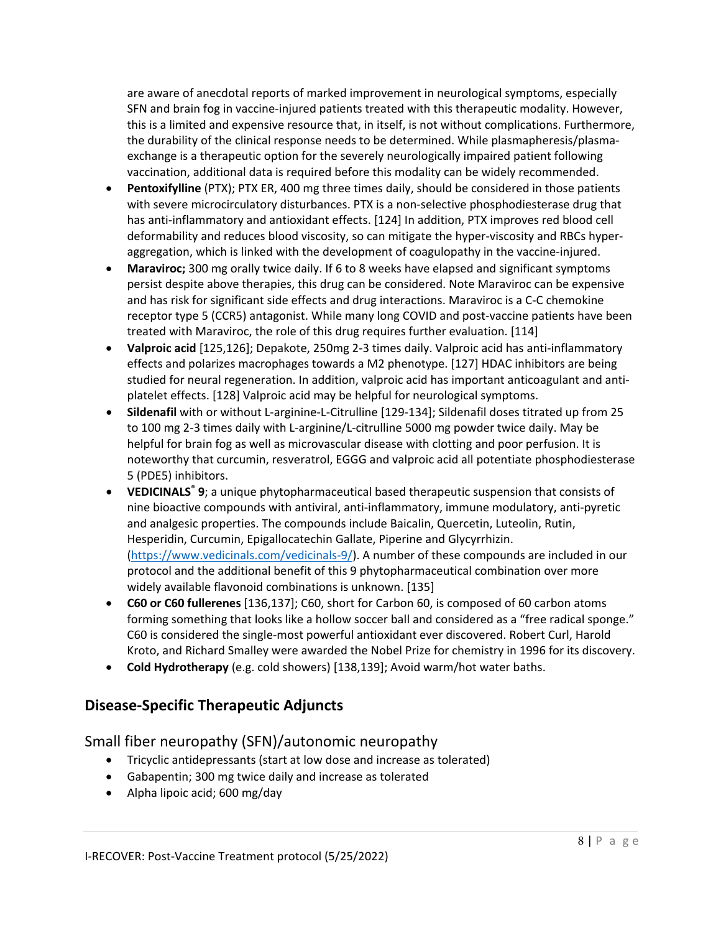are aware of anecdotal reports of marked improvement in neurological symptoms, especially SFN and brain fog in vaccine-injured patients treated with this therapeutic modality. However, this is a limited and expensive resource that, in itself, is not without complications. Furthermore, the durability of the clinical response needs to be determined. While plasmapheresis/plasmaexchange is a therapeutic option for the severely neurologically impaired patient following vaccination, additional data is required before this modality can be widely recommended.

- **Pentoxifylline** (PTX); PTX ER, 400 mg three times daily, should be considered in those patients with severe microcirculatory disturbances. PTX is a non-selective phosphodiesterase drug that has anti-inflammatory and antioxidant effects. [124] In addition, PTX improves red blood cell deformability and reduces blood viscosity, so can mitigate the hyper-viscosity and RBCs hyperaggregation, which is linked with the development of coagulopathy in the vaccine-injured.
- **Maraviroc;** 300 mg orally twice daily. If 6 to 8 weeks have elapsed and significant symptoms persist despite above therapies, this drug can be considered. Note Maraviroc can be expensive and has risk for significant side effects and drug interactions. Maraviroc is a C-C chemokine receptor type 5 (CCR5) antagonist. While many long COVID and post-vaccine patients have been treated with Maraviroc, the role of this drug requires further evaluation. [114]
- **Valproic acid** [125,126]; Depakote, 250mg 2-3 times daily. Valproic acid has anti-inflammatory effects and polarizes macrophages towards a M2 phenotype. [127] HDAC inhibitors are being studied for neural regeneration. In addition, valproic acid has important anticoagulant and antiplatelet effects. [128] Valproic acid may be helpful for neurological symptoms.
- **Sildenafil** with or without L-arginine-L-Citrulline [129-134]; Sildenafil doses titrated up from 25 to 100 mg 2-3 times daily with L-arginine/L-citrulline 5000 mg powder twice daily. May be helpful for brain fog as well as microvascular disease with clotting and poor perfusion. It is noteworthy that curcumin, resveratrol, EGGG and valproic acid all potentiate phosphodiesterase 5 (PDE5) inhibitors.
- **VEDICINALS<sup>®</sup> 9**; a unique phytopharmaceutical based therapeutic suspension that consists of nine bioactive compounds with antiviral, anti-inflammatory, immune modulatory, anti-pyretic and analgesic properties. The compounds include Baicalin, Quercetin, Luteolin, Rutin, Hesperidin, Curcumin, Epigallocatechin Gallate, Piperine and Glycyrrhizin. [\(https://www.vedicinals.com/vedicinals-9/\)](https://www.vedicinals.com/vedicinals-9/). A number of these compounds are included in our protocol and the additional benefit of this 9 phytopharmaceutical combination over more widely available flavonoid combinations is unknown. [135]
- **C60 or C60 fullerenes** [136,137]; C60, short for Carbon 60, is composed of 60 carbon atoms forming something that looks like a hollow soccer ball and considered as a "free radical sponge." C60 is considered the single-most powerful antioxidant ever discovered. Robert Curl, Harold Kroto, and Richard Smalley were awarded the Nobel Prize for chemistry in 1996 for its discovery.
- **Cold Hydrotherapy** (e.g. cold showers) [138,139]; Avoid warm/hot water baths.

## **Disease-Specific Therapeutic Adjuncts**

#### Small fiber neuropathy (SFN)/autonomic neuropathy

- Tricyclic antidepressants (start at low dose and increase as tolerated)
- Gabapentin; 300 mg twice daily and increase as tolerated
- Alpha lipoic acid; 600 mg/day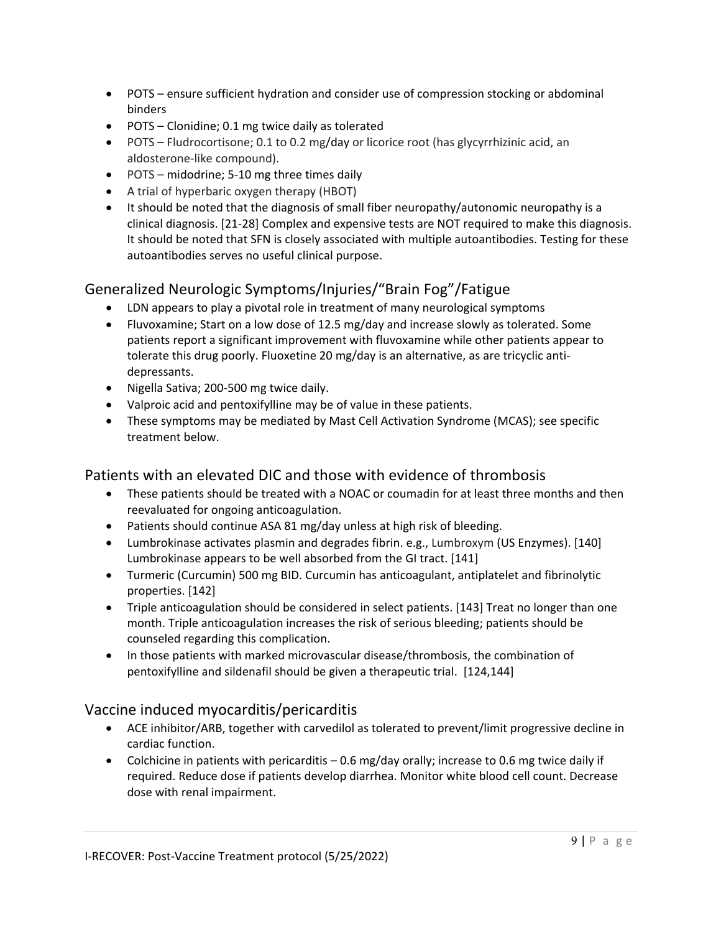- POTS ensure sufficient hydration and consider use of compression stocking or abdominal binders
- POTS Clonidine; 0.1 mg twice daily as tolerated
- POTS Fludrocortisone; 0.1 to 0.2 mg/day or licorice root (has glycyrrhizinic acid, an aldosterone-like compound).
- POTS midodrine; 5-10 mg three times daily
- A trial of hyperbaric oxygen therapy (HBOT)
- It should be noted that the diagnosis of small fiber neuropathy/autonomic neuropathy is a clinical diagnosis. [21-28] Complex and expensive tests are NOT required to make this diagnosis. It should be noted that SFN is closely associated with multiple autoantibodies. Testing for these autoantibodies serves no useful clinical purpose.

## Generalized Neurologic Symptoms/Injuries/"Brain Fog"/Fatigue

- LDN appears to play a pivotal role in treatment of many neurological symptoms
- Fluvoxamine; Start on a low dose of 12.5 mg/day and increase slowly as tolerated. Some patients report a significant improvement with fluvoxamine while other patients appear to tolerate this drug poorly. Fluoxetine 20 mg/day is an alternative, as are tricyclic antidepressants.
- Nigella Sativa; 200-500 mg twice daily.
- Valproic acid and pentoxifylline may be of value in these patients.
- These symptoms may be mediated by Mast Cell Activation Syndrome (MCAS); see specific treatment below.

## Patients with an elevated DIC and those with evidence of thrombosis

- These patients should be treated with a NOAC or coumadin for at least three months and then reevaluated for ongoing anticoagulation.
- Patients should continue ASA 81 mg/day unless at high risk of bleeding.
- Lumbrokinase activates plasmin and degrades fibrin. e.g., Lumbroxym (US Enzymes). [140] Lumbrokinase appears to be well absorbed from the GI tract. [141]
- Turmeric (Curcumin) 500 mg BID. Curcumin has anticoagulant, antiplatelet and fibrinolytic properties. [142]
- Triple anticoagulation should be considered in select patients. [143] Treat no longer than one month. Triple anticoagulation increases the risk of serious bleeding; patients should be counseled regarding this complication.
- In those patients with marked microvascular disease/thrombosis, the combination of pentoxifylline and sildenafil should be given a therapeutic trial. [124,144]

## Vaccine induced myocarditis/pericarditis

- ACE inhibitor/ARB, together with carvedilol as tolerated to prevent/limit progressive decline in cardiac function.
- Colchicine in patients with pericarditis 0.6 mg/day orally; increase to 0.6 mg twice daily if required. Reduce dose if patients develop diarrhea. Monitor white blood cell count. Decrease dose with renal impairment.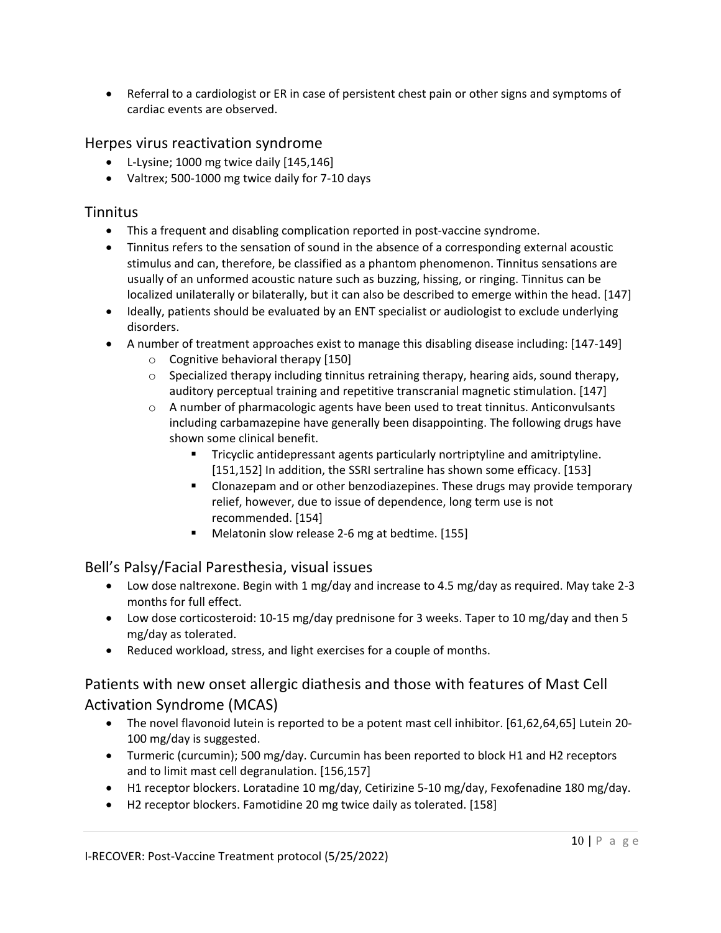• Referral to a cardiologist or ER in case of persistent chest pain or other signs and symptoms of cardiac events are observed.

#### Herpes virus reactivation syndrome

- L-Lysine; 1000 mg twice daily [145,146]
- Valtrex; 500-1000 mg twice daily for 7-10 days

#### **Tinnitus**

- This a frequent and disabling complication reported in post-vaccine syndrome.
- Tinnitus refers to the sensation of sound in the absence of a corresponding external acoustic stimulus and can, therefore, be classified as a phantom phenomenon. Tinnitus sensations are usually of an unformed acoustic nature such as buzzing, hissing, or ringing. Tinnitus can be localized unilaterally or bilaterally, but it can also be described to emerge within the head. [147]
- Ideally, patients should be evaluated by an ENT specialist or audiologist to exclude underlying disorders.
- A number of treatment approaches exist to manage this disabling disease including: [147-149]
	- o Cognitive behavioral therapy [150]
	- $\circ$  Specialized therapy including tinnitus retraining therapy, hearing aids, sound therapy, auditory perceptual training and repetitive transcranial magnetic stimulation. [147]
	- o A number of pharmacologic agents have been used to treat tinnitus. Anticonvulsants including carbamazepine have generally been disappointing. The following drugs have shown some clinical benefit.
		- Tricyclic antidepressant agents particularly nortriptyline and amitriptyline. [151,152] In addition, the SSRI sertraline has shown some efficacy. [153]
		- Clonazepam and or other benzodiazepines. These drugs may provide temporary relief, however, due to issue of dependence, long term use is not recommended. [154]
		- Melatonin slow release 2-6 mg at bedtime. [155]

#### Bell's Palsy/Facial Paresthesia, visual issues

- Low dose naltrexone. Begin with 1 mg/day and increase to 4.5 mg/day as required. May take 2-3 months for full effect.
- Low dose corticosteroid: 10-15 mg/day prednisone for 3 weeks. Taper to 10 mg/day and then 5 mg/day as tolerated.
- Reduced workload, stress, and light exercises for a couple of months.

# Patients with new onset allergic diathesis and those with features of Mast Cell Activation Syndrome (MCAS)

- The novel flavonoid lutein is reported to be a potent mast cell inhibitor. [61,62,64,65] Lutein 20- 100 mg/day is suggested.
- Turmeric (curcumin); 500 mg/day. Curcumin has been reported to block H1 and H2 receptors and to limit mast cell degranulation. [156,157]
- H1 receptor blockers. Loratadine 10 mg/day, Cetirizine 5-10 mg/day, Fexofenadine 180 mg/day.
- H2 receptor blockers. Famotidine 20 mg twice daily as tolerated. [158]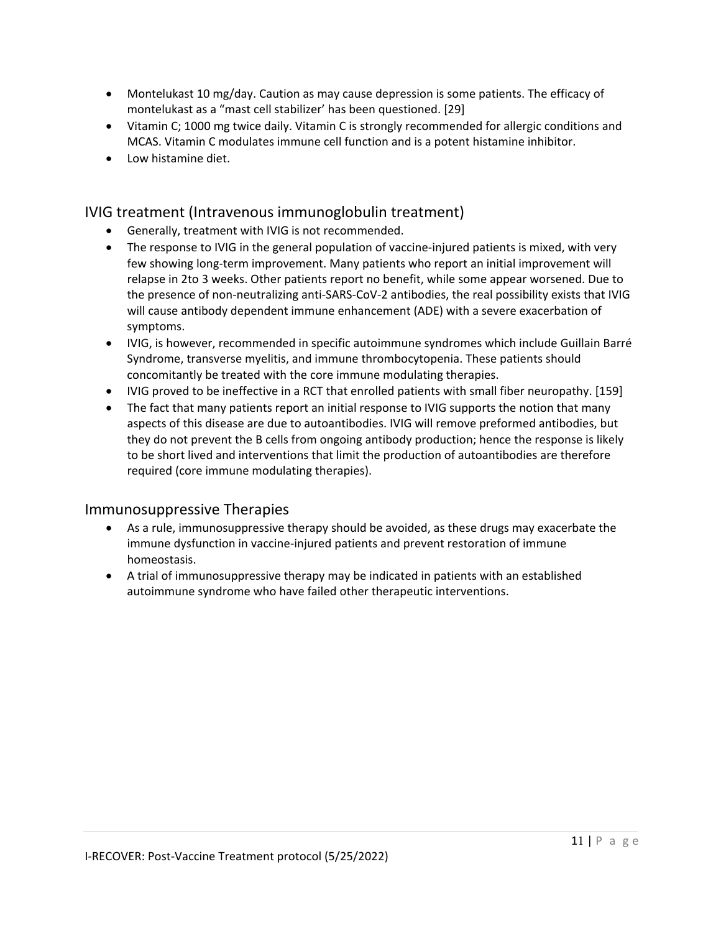- Montelukast 10 mg/day. Caution as may cause depression is some patients. The efficacy of montelukast as a "mast cell stabilizer' has been questioned. [29]
- Vitamin C; 1000 mg twice daily. Vitamin C is strongly recommended for allergic conditions and MCAS. Vitamin C modulates immune cell function and is a potent histamine inhibitor.
- Low histamine diet.

#### IVIG treatment (Intravenous immunoglobulin treatment)

- Generally, treatment with IVIG is not recommended.
- The response to IVIG in the general population of vaccine-injured patients is mixed, with very few showing long-term improvement. Many patients who report an initial improvement will relapse in 2to 3 weeks. Other patients report no benefit, while some appear worsened. Due to the presence of non-neutralizing anti-SARS-CoV-2 antibodies, the real possibility exists that IVIG will cause antibody dependent immune enhancement (ADE) with a severe exacerbation of symptoms.
- IVIG, is however, recommended in specific autoimmune syndromes which include Guillain Barré Syndrome, transverse myelitis, and immune thrombocytopenia. These patients should concomitantly be treated with the core immune modulating therapies.
- IVIG proved to be ineffective in a RCT that enrolled patients with small fiber neuropathy. [159]
- The fact that many patients report an initial response to IVIG supports the notion that many aspects of this disease are due to autoantibodies. IVIG will remove preformed antibodies, but they do not prevent the B cells from ongoing antibody production; hence the response is likely to be short lived and interventions that limit the production of autoantibodies are therefore required (core immune modulating therapies).

#### Immunosuppressive Therapies

- As a rule, immunosuppressive therapy should be avoided, as these drugs may exacerbate the immune dysfunction in vaccine-injured patients and prevent restoration of immune homeostasis.
- A trial of immunosuppressive therapy may be indicated in patients with an established autoimmune syndrome who have failed other therapeutic interventions.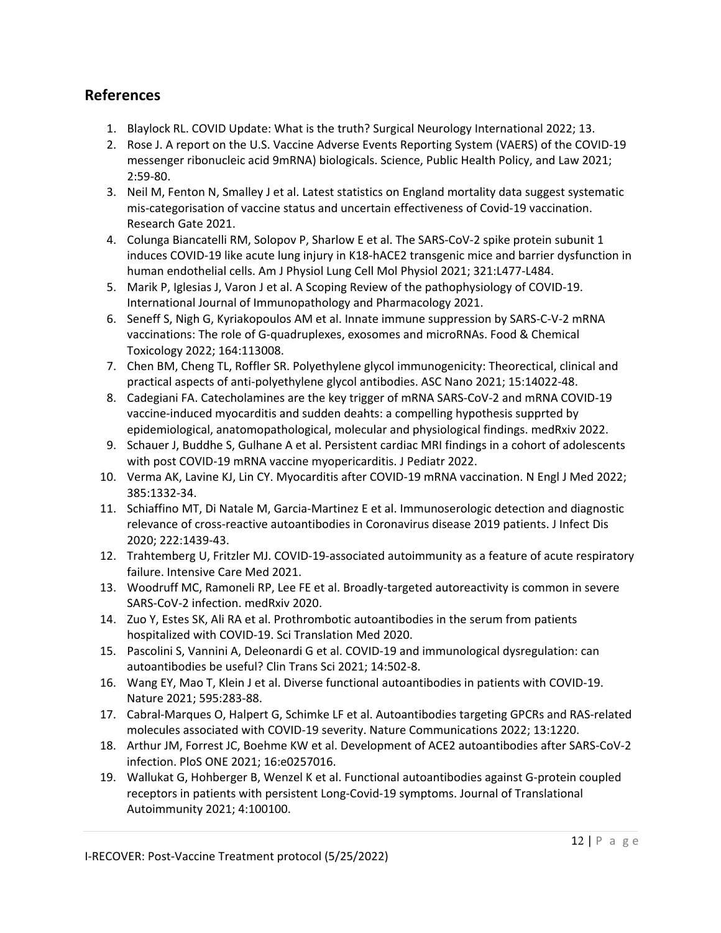## **References**

- 1. Blaylock RL. COVID Update: What is the truth? Surgical Neurology International 2022; 13.
- 2. Rose J. A report on the U.S. Vaccine Adverse Events Reporting System (VAERS) of the COVID-19 messenger ribonucleic acid 9mRNA) biologicals. Science, Public Health Policy, and Law 2021; 2:59-80.
- 3. Neil M, Fenton N, Smalley J et al. Latest statistics on England mortality data suggest systematic mis-categorisation of vaccine status and uncertain effectiveness of Covid-19 vaccination. Research Gate 2021.
- 4. Colunga Biancatelli RM, Solopov P, Sharlow E et al. The SARS-CoV-2 spike protein subunit 1 induces COVID-19 like acute lung injury in K18-hACE2 transgenic mice and barrier dysfunction in human endothelial cells. Am J Physiol Lung Cell Mol Physiol 2021; 321:L477-L484.
- 5. Marik P, Iglesias J, Varon J et al. A Scoping Review of the pathophysiology of COVID-19. International Journal of Immunopathology and Pharmacology 2021.
- 6. Seneff S, Nigh G, Kyriakopoulos AM et al. Innate immune suppression by SARS-C-V-2 mRNA vaccinations: The role of G-quadruplexes, exosomes and microRNAs. Food & Chemical Toxicology 2022; 164:113008.
- 7. Chen BM, Cheng TL, Roffler SR. Polyethylene glycol immunogenicity: Theorectical, clinical and practical aspects of anti-polyethylene glycol antibodies. ASC Nano 2021; 15:14022-48.
- 8. Cadegiani FA. Catecholamines are the key trigger of mRNA SARS-CoV-2 and mRNA COVID-19 vaccine-induced myocarditis and sudden deahts: a compelling hypothesis supprted by epidemiological, anatomopathological, molecular and physiological findings. medRxiv 2022.
- 9. Schauer J, Buddhe S, Gulhane A et al. Persistent cardiac MRI findings in a cohort of adolescents with post COVID-19 mRNA vaccine myopericarditis. J Pediatr 2022.
- 10. Verma AK, Lavine KJ, Lin CY. Myocarditis after COVID-19 mRNA vaccination. N Engl J Med 2022; 385:1332-34.
- 11. Schiaffino MT, Di Natale M, Garcia-Martinez E et al. Immunoserologic detection and diagnostic relevance of cross-reactive autoantibodies in Coronavirus disease 2019 patients. J Infect Dis 2020; 222:1439-43.
- 12. Trahtemberg U, Fritzler MJ. COVID-19-associated autoimmunity as a feature of acute respiratory failure. Intensive Care Med 2021.
- 13. Woodruff MC, Ramoneli RP, Lee FE et al. Broadly-targeted autoreactivity is common in severe SARS-CoV-2 infection. medRxiv 2020.
- 14. Zuo Y, Estes SK, Ali RA et al. Prothrombotic autoantibodies in the serum from patients hospitalized with COVID-19. Sci Translation Med 2020.
- 15. Pascolini S, Vannini A, Deleonardi G et al. COVID-19 and immunological dysregulation: can autoantibodies be useful? Clin Trans Sci 2021; 14:502-8.
- 16. Wang EY, Mao T, Klein J et al. Diverse functional autoantibodies in patients with COVID-19. Nature 2021; 595:283-88.
- 17. Cabral-Marques O, Halpert G, Schimke LF et al. Autoantibodies targeting GPCRs and RAS-related molecules associated with COVID-19 severity. Nature Communications 2022; 13:1220.
- 18. Arthur JM, Forrest JC, Boehme KW et al. Development of ACE2 autoantibodies after SARS-CoV-2 infection. PloS ONE 2021; 16:e0257016.
- 19. Wallukat G, Hohberger B, Wenzel K et al. Functional autoantibodies against G-protein coupled receptors in patients with persistent Long-Covid-19 symptoms. Journal of Translational Autoimmunity 2021; 4:100100.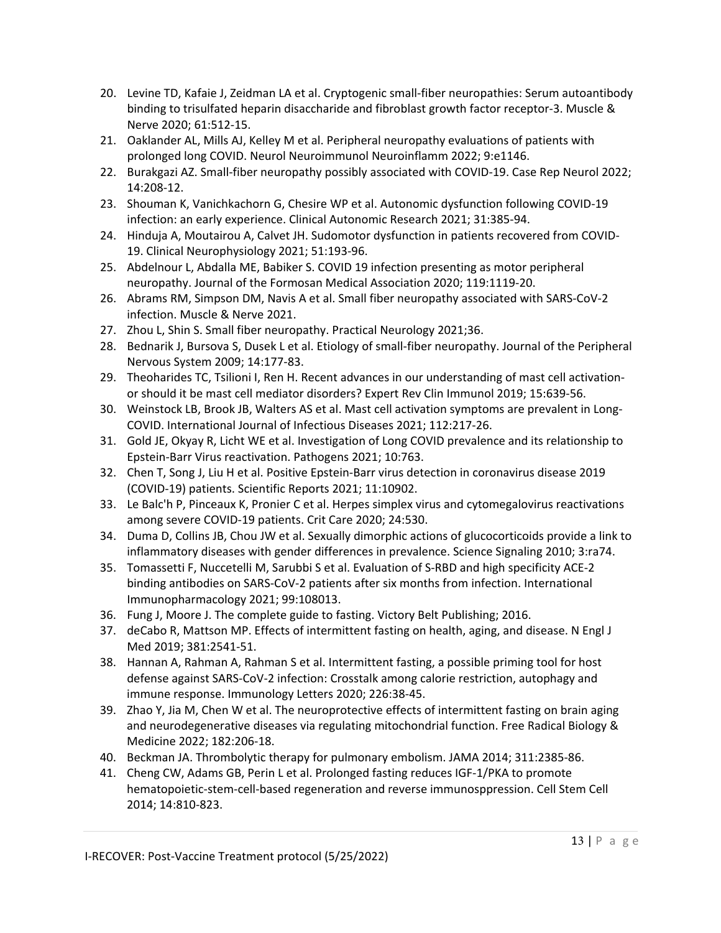- 20. Levine TD, Kafaie J, Zeidman LA et al. Cryptogenic small-fiber neuropathies: Serum autoantibody binding to trisulfated heparin disaccharide and fibroblast growth factor receptor-3. Muscle & Nerve 2020; 61:512-15.
- 21. Oaklander AL, Mills AJ, Kelley M et al. Peripheral neuropathy evaluations of patients with prolonged long COVID. Neurol Neuroimmunol Neuroinflamm 2022; 9:e1146.
- 22. Burakgazi AZ. Small-fiber neuropathy possibly associated with COVID-19. Case Rep Neurol 2022; 14:208-12.
- 23. Shouman K, Vanichkachorn G, Chesire WP et al. Autonomic dysfunction following COVID-19 infection: an early experience. Clinical Autonomic Research 2021; 31:385-94.
- 24. Hinduja A, Moutairou A, Calvet JH. Sudomotor dysfunction in patients recovered from COVID-19. Clinical Neurophysiology 2021; 51:193-96.
- 25. Abdelnour L, Abdalla ME, Babiker S. COVID 19 infection presenting as motor peripheral neuropathy. Journal of the Formosan Medical Association 2020; 119:1119-20.
- 26. Abrams RM, Simpson DM, Navis A et al. Small fiber neuropathy associated with SARS-CoV-2 infection. Muscle & Nerve 2021.
- 27. Zhou L, Shin S. Small fiber neuropathy. Practical Neurology 2021;36.
- 28. Bednarik J, Bursova S, Dusek L et al. Etiology of small-fiber neuropathy. Journal of the Peripheral Nervous System 2009; 14:177-83.
- 29. Theoharides TC, Tsilioni I, Ren H. Recent advances in our understanding of mast cell activationor should it be mast cell mediator disorders? Expert Rev Clin Immunol 2019; 15:639-56.
- 30. Weinstock LB, Brook JB, Walters AS et al. Mast cell activation symptoms are prevalent in Long-COVID. International Journal of Infectious Diseases 2021; 112:217-26.
- 31. Gold JE, Okyay R, Licht WE et al. Investigation of Long COVID prevalence and its relationship to Epstein-Barr Virus reactivation. Pathogens 2021; 10:763.
- 32. Chen T, Song J, Liu H et al. Positive Epstein-Barr virus detection in coronavirus disease 2019 (COVID-19) patients. Scientific Reports 2021; 11:10902.
- 33. Le Balc'h P, Pinceaux K, Pronier C et al. Herpes simplex virus and cytomegalovirus reactivations among severe COVID-19 patients. Crit Care 2020; 24:530.
- 34. Duma D, Collins JB, Chou JW et al. Sexually dimorphic actions of glucocorticoids provide a link to inflammatory diseases with gender differences in prevalence. Science Signaling 2010; 3:ra74.
- 35. Tomassetti F, Nuccetelli M, Sarubbi S et al. Evaluation of S-RBD and high specificity ACE-2 binding antibodies on SARS-CoV-2 patients after six months from infection. International Immunopharmacology 2021; 99:108013.
- 36. Fung J, Moore J. The complete guide to fasting. Victory Belt Publishing; 2016.
- 37. deCabo R, Mattson MP. Effects of intermittent fasting on health, aging, and disease. N Engl J Med 2019; 381:2541-51.
- 38. Hannan A, Rahman A, Rahman S et al. Intermittent fasting, a possible priming tool for host defense against SARS-CoV-2 infection: Crosstalk among calorie restriction, autophagy and immune response. Immunology Letters 2020; 226:38-45.
- 39. Zhao Y, Jia M, Chen W et al. The neuroprotective effects of intermittent fasting on brain aging and neurodegenerative diseases via regulating mitochondrial function. Free Radical Biology & Medicine 2022; 182:206-18.
- 40. Beckman JA. Thrombolytic therapy for pulmonary embolism. JAMA 2014; 311:2385-86.
- 41. Cheng CW, Adams GB, Perin L et al. Prolonged fasting reduces IGF-1/PKA to promote hematopoietic-stem-cell-based regeneration and reverse immunosppression. Cell Stem Cell 2014; 14:810-823.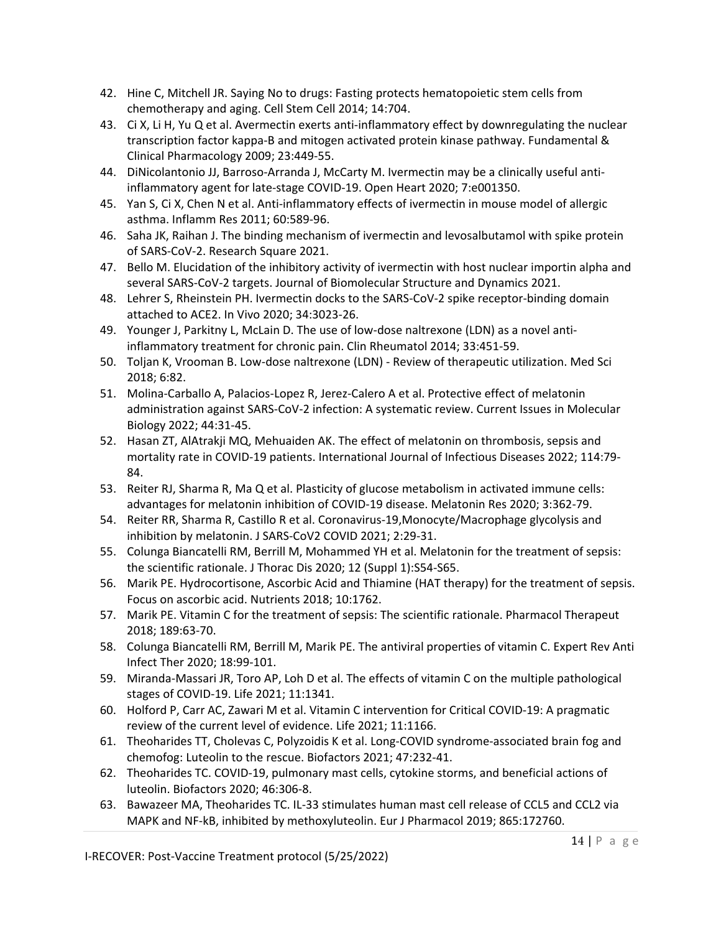- 42. Hine C, Mitchell JR. Saying No to drugs: Fasting protects hematopoietic stem cells from chemotherapy and aging. Cell Stem Cell 2014; 14:704.
- 43. Ci X, Li H, Yu Q et al. Avermectin exerts anti-inflammatory effect by downregulating the nuclear transcription factor kappa-B and mitogen activated protein kinase pathway. Fundamental & Clinical Pharmacology 2009; 23:449-55.
- 44. DiNicolantonio JJ, Barroso-Arranda J, McCarty M. Ivermectin may be a clinically useful antiinflammatory agent for late-stage COVID-19. Open Heart 2020; 7:e001350.
- 45. Yan S, Ci X, Chen N et al. Anti-inflammatory effects of ivermectin in mouse model of allergic asthma. Inflamm Res 2011; 60:589-96.
- 46. Saha JK, Raihan J. The binding mechanism of ivermectin and levosalbutamol with spike protein of SARS-CoV-2. Research Square 2021.
- 47. Bello M. Elucidation of the inhibitory activity of ivermectin with host nuclear importin alpha and several SARS-CoV-2 targets. Journal of Biomolecular Structure and Dynamics 2021.
- 48. Lehrer S, Rheinstein PH. Ivermectin docks to the SARS-CoV-2 spike receptor-binding domain attached to ACE2. In Vivo 2020; 34:3023-26.
- 49. Younger J, Parkitny L, McLain D. The use of low-dose naltrexone (LDN) as a novel antiinflammatory treatment for chronic pain. Clin Rheumatol 2014; 33:451-59.
- 50. Toljan K, Vrooman B. Low-dose naltrexone (LDN) Review of therapeutic utilization. Med Sci 2018; 6:82.
- 51. Molina-Carballo A, Palacios-Lopez R, Jerez-Calero A et al. Protective effect of melatonin administration against SARS-CoV-2 infection: A systematic review. Current Issues in Molecular Biology 2022; 44:31-45.
- 52. Hasan ZT, AlAtrakji MQ, Mehuaiden AK. The effect of melatonin on thrombosis, sepsis and mortality rate in COVID-19 patients. International Journal of Infectious Diseases 2022; 114:79- 84.
- 53. Reiter RJ, Sharma R, Ma Q et al. Plasticity of glucose metabolism in activated immune cells: advantages for melatonin inhibition of COVID-19 disease. Melatonin Res 2020; 3:362-79.
- 54. Reiter RR, Sharma R, Castillo R et al. Coronavirus-19,Monocyte/Macrophage glycolysis and inhibition by melatonin. J SARS-CoV2 COVID 2021; 2:29-31.
- 55. Colunga Biancatelli RM, Berrill M, Mohammed YH et al. Melatonin for the treatment of sepsis: the scientific rationale. J Thorac Dis 2020; 12 (Suppl 1):S54-S65.
- 56. Marik PE. Hydrocortisone, Ascorbic Acid and Thiamine (HAT therapy) for the treatment of sepsis. Focus on ascorbic acid. Nutrients 2018; 10:1762.
- 57. Marik PE. Vitamin C for the treatment of sepsis: The scientific rationale. Pharmacol Therapeut 2018; 189:63-70.
- 58. Colunga Biancatelli RM, Berrill M, Marik PE. The antiviral properties of vitamin C. Expert Rev Anti Infect Ther 2020; 18:99-101.
- 59. Miranda-Massari JR, Toro AP, Loh D et al. The effects of vitamin C on the multiple pathological stages of COVID-19. Life 2021; 11:1341.
- 60. Holford P, Carr AC, Zawari M et al. Vitamin C intervention for Critical COVID-19: A pragmatic review of the current level of evidence. Life 2021; 11:1166.
- 61. Theoharides TT, Cholevas C, Polyzoidis K et al. Long-COVID syndrome-associated brain fog and chemofog: Luteolin to the rescue. Biofactors 2021; 47:232-41.
- 62. Theoharides TC. COVID-19, pulmonary mast cells, cytokine storms, and beneficial actions of luteolin. Biofactors 2020; 46:306-8.
- 63. Bawazeer MA, Theoharides TC. IL-33 stimulates human mast cell release of CCL5 and CCL2 via MAPK and NF-kB, inhibited by methoxyluteolin. Eur J Pharmacol 2019; 865:172760.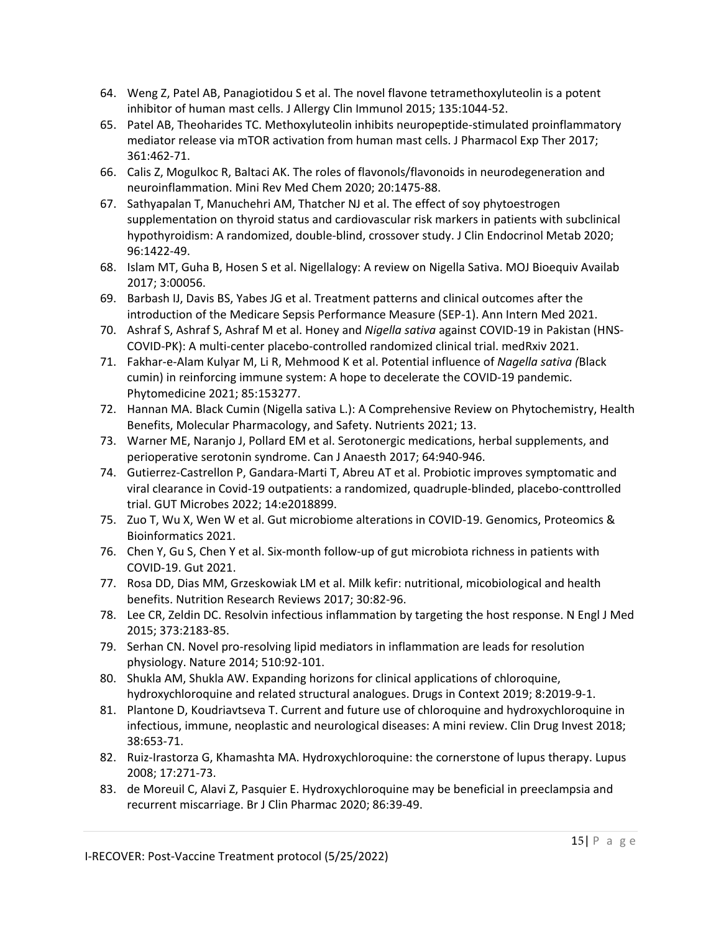- 64. Weng Z, Patel AB, Panagiotidou S et al. The novel flavone tetramethoxyluteolin is a potent inhibitor of human mast cells. J Allergy Clin Immunol 2015; 135:1044-52.
- 65. Patel AB, Theoharides TC. Methoxyluteolin inhibits neuropeptide-stimulated proinflammatory mediator release via mTOR activation from human mast cells. J Pharmacol Exp Ther 2017; 361:462-71.
- 66. Calis Z, Mogulkoc R, Baltaci AK. The roles of flavonols/flavonoids in neurodegeneration and neuroinflammation. Mini Rev Med Chem 2020; 20:1475-88.
- 67. Sathyapalan T, Manuchehri AM, Thatcher NJ et al. The effect of soy phytoestrogen supplementation on thyroid status and cardiovascular risk markers in patients with subclinical hypothyroidism: A randomized, double-blind, crossover study. J Clin Endocrinol Metab 2020; 96:1422-49.
- 68. Islam MT, Guha B, Hosen S et al. Nigellalogy: A review on Nigella Sativa. MOJ Bioequiv Availab 2017; 3:00056.
- 69. Barbash IJ, Davis BS, Yabes JG et al. Treatment patterns and clinical outcomes after the introduction of the Medicare Sepsis Performance Measure (SEP-1). Ann Intern Med 2021.
- 70. Ashraf S, Ashraf S, Ashraf M et al. Honey and *Nigella sativa* against COVID-19 in Pakistan (HNS-COVID-PK): A multi-center placebo-controlled randomized clinical trial. medRxiv 2021.
- 71. Fakhar-e-Alam Kulyar M, Li R, Mehmood K et al. Potential influence of *Nagella sativa (*Black cumin) in reinforcing immune system: A hope to decelerate the COVID-19 pandemic. Phytomedicine 2021; 85:153277.
- 72. Hannan MA. Black Cumin (Nigella sativa L.): A Comprehensive Review on Phytochemistry, Health Benefits, Molecular Pharmacology, and Safety. Nutrients 2021; 13.
- 73. Warner ME, Naranjo J, Pollard EM et al. Serotonergic medications, herbal supplements, and perioperative serotonin syndrome. Can J Anaesth 2017; 64:940-946.
- 74. Gutierrez-Castrellon P, Gandara-Marti T, Abreu AT et al. Probiotic improves symptomatic and viral clearance in Covid-19 outpatients: a randomized, quadruple-blinded, placebo-conttrolled trial. GUT Microbes 2022; 14:e2018899.
- 75. Zuo T, Wu X, Wen W et al. Gut microbiome alterations in COVID-19. Genomics, Proteomics & Bioinformatics 2021.
- 76. Chen Y, Gu S, Chen Y et al. Six-month follow-up of gut microbiota richness in patients with COVID-19. Gut 2021.
- 77. Rosa DD, Dias MM, Grzeskowiak LM et al. Milk kefir: nutritional, micobiological and health benefits. Nutrition Research Reviews 2017; 30:82-96.
- 78. Lee CR, Zeldin DC. Resolvin infectious inflammation by targeting the host response. N Engl J Med 2015; 373:2183-85.
- 79. Serhan CN. Novel pro-resolving lipid mediators in inflammation are leads for resolution physiology. Nature 2014; 510:92-101.
- 80. Shukla AM, Shukla AW. Expanding horizons for clinical applications of chloroquine, hydroxychloroquine and related structural analogues. Drugs in Context 2019; 8:2019-9-1.
- 81. Plantone D, Koudriavtseva T. Current and future use of chloroquine and hydroxychloroquine in infectious, immune, neoplastic and neurological diseases: A mini review. Clin Drug Invest 2018; 38:653-71.
- 82. Ruiz-Irastorza G, Khamashta MA. Hydroxychloroquine: the cornerstone of lupus therapy. Lupus 2008; 17:271-73.
- 83. de Moreuil C, Alavi Z, Pasquier E. Hydroxychloroquine may be beneficial in preeclampsia and recurrent miscarriage. Br J Clin Pharmac 2020; 86:39-49.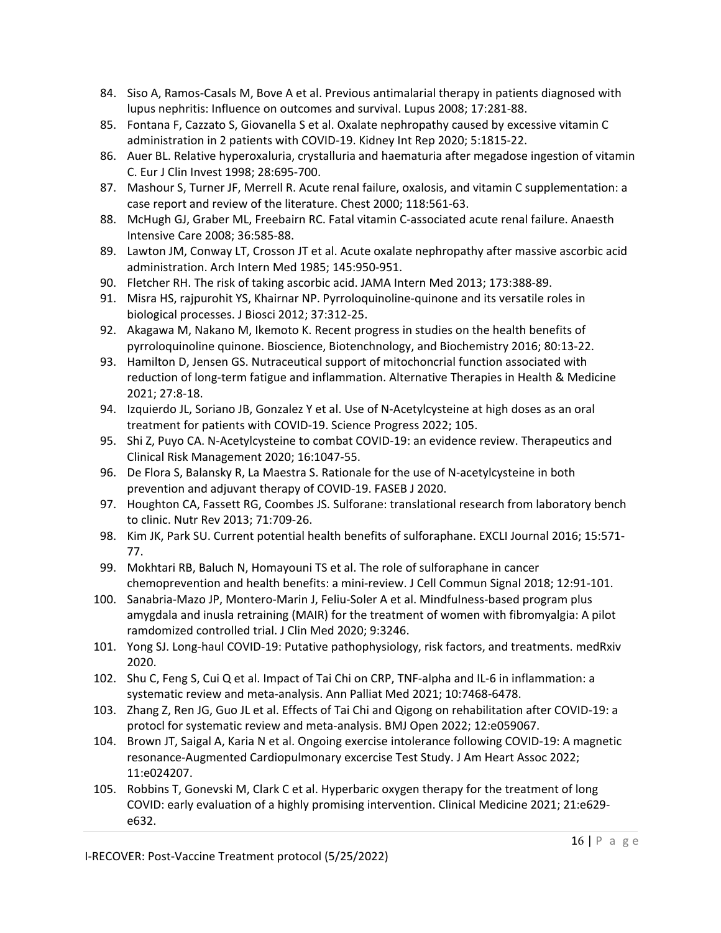- 84. Siso A, Ramos-Casals M, Bove A et al. Previous antimalarial therapy in patients diagnosed with lupus nephritis: Influence on outcomes and survival. Lupus 2008; 17:281-88.
- 85. Fontana F, Cazzato S, Giovanella S et al. Oxalate nephropathy caused by excessive vitamin C administration in 2 patients with COVID-19. Kidney Int Rep 2020; 5:1815-22.
- 86. Auer BL. Relative hyperoxaluria, crystalluria and haematuria after megadose ingestion of vitamin C. Eur J Clin Invest 1998; 28:695-700.
- 87. Mashour S, Turner JF, Merrell R. Acute renal failure, oxalosis, and vitamin C supplementation: a case report and review of the literature. Chest 2000; 118:561-63.
- 88. McHugh GJ, Graber ML, Freebairn RC. Fatal vitamin C-associated acute renal failure. Anaesth Intensive Care 2008; 36:585-88.
- 89. Lawton JM, Conway LT, Crosson JT et al. Acute oxalate nephropathy after massive ascorbic acid administration. Arch Intern Med 1985; 145:950-951.
- 90. Fletcher RH. The risk of taking ascorbic acid. JAMA Intern Med 2013; 173:388-89.
- 91. Misra HS, rajpurohit YS, Khairnar NP. Pyrroloquinoline-quinone and its versatile roles in biological processes. J Biosci 2012; 37:312-25.
- 92. Akagawa M, Nakano M, Ikemoto K. Recent progress in studies on the health benefits of pyrroloquinoline quinone. Bioscience, Biotenchnology, and Biochemistry 2016; 80:13-22.
- 93. Hamilton D, Jensen GS. Nutraceutical support of mitochoncrial function associated with reduction of long-term fatigue and inflammation. Alternative Therapies in Health & Medicine 2021; 27:8-18.
- 94. Izquierdo JL, Soriano JB, Gonzalez Y et al. Use of N-Acetylcysteine at high doses as an oral treatment for patients with COVID-19. Science Progress 2022; 105.
- 95. Shi Z, Puyo CA. N-Acetylcysteine to combat COVID-19: an evidence review. Therapeutics and Clinical Risk Management 2020; 16:1047-55.
- 96. De Flora S, Balansky R, La Maestra S. Rationale for the use of N-acetylcysteine in both prevention and adjuvant therapy of COVID-19. FASEB J 2020.
- 97. Houghton CA, Fassett RG, Coombes JS. Sulforane: translational research from laboratory bench to clinic. Nutr Rev 2013; 71:709-26.
- 98. Kim JK, Park SU. Current potential health benefits of sulforaphane. EXCLI Journal 2016; 15:571- 77.
- 99. Mokhtari RB, Baluch N, Homayouni TS et al. The role of sulforaphane in cancer chemoprevention and health benefits: a mini-review. J Cell Commun Signal 2018; 12:91-101.
- 100. Sanabria-Mazo JP, Montero-Marin J, Feliu-Soler A et al. Mindfulness-based program plus amygdala and inusla retraining (MAIR) for the treatment of women with fibromyalgia: A pilot ramdomized controlled trial. J Clin Med 2020; 9:3246.
- 101. Yong SJ. Long-haul COVID-19: Putative pathophysiology, risk factors, and treatments. medRxiv 2020.
- 102. Shu C, Feng S, Cui Q et al. Impact of Tai Chi on CRP, TNF-alpha and IL-6 in inflammation: a systematic review and meta-analysis. Ann Palliat Med 2021; 10:7468-6478.
- 103. Zhang Z, Ren JG, Guo JL et al. Effects of Tai Chi and Qigong on rehabilitation after COVID-19: a protocl for systematic review and meta-analysis. BMJ Open 2022; 12:e059067.
- 104. Brown JT, Saigal A, Karia N et al. Ongoing exercise intolerance following COVID-19: A magnetic resonance-Augmented Cardiopulmonary excercise Test Study. J Am Heart Assoc 2022; 11:e024207.
- 105. Robbins T, Gonevski M, Clark C et al. Hyperbaric oxygen therapy for the treatment of long COVID: early evaluation of a highly promising intervention. Clinical Medicine 2021; 21:e629 e632.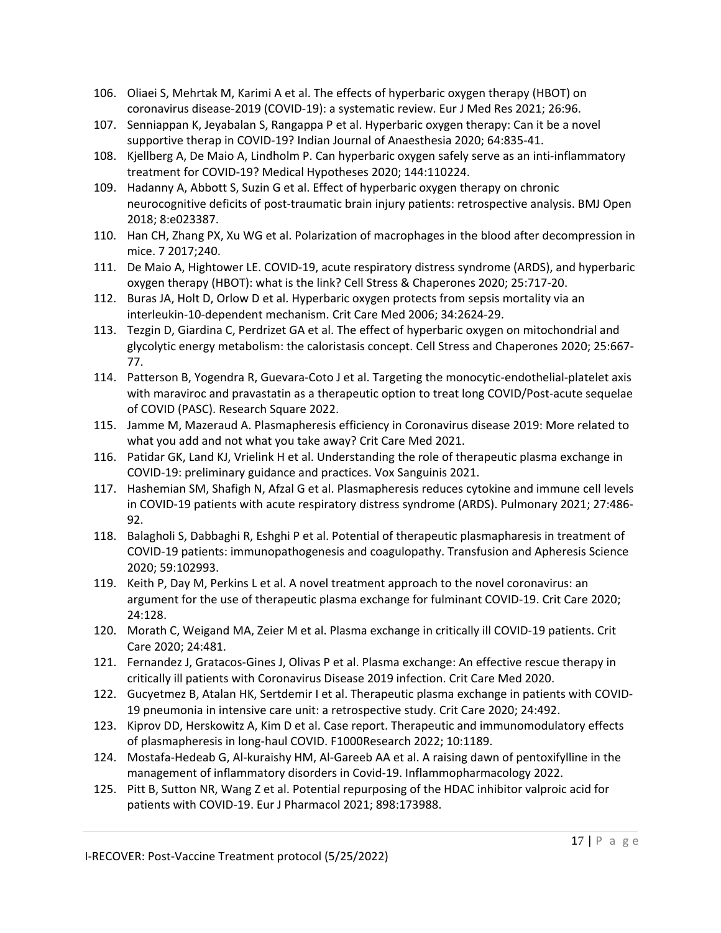- 106. Oliaei S, Mehrtak M, Karimi A et al. The effects of hyperbaric oxygen therapy (HBOT) on coronavirus disease-2019 (COVID-19): a systematic review. Eur J Med Res 2021; 26:96.
- 107. Senniappan K, Jeyabalan S, Rangappa P et al. Hyperbaric oxygen therapy: Can it be a novel supportive therap in COVID-19? Indian Journal of Anaesthesia 2020; 64:835-41.
- 108. Kjellberg A, De Maio A, Lindholm P. Can hyperbaric oxygen safely serve as an inti-inflammatory treatment for COVID-19? Medical Hypotheses 2020; 144:110224.
- 109. Hadanny A, Abbott S, Suzin G et al. Effect of hyperbaric oxygen therapy on chronic neurocognitive deficits of post-traumatic brain injury patients: retrospective analysis. BMJ Open 2018; 8:e023387.
- 110. Han CH, Zhang PX, Xu WG et al. Polarization of macrophages in the blood after decompression in mice. 7 2017;240.
- 111. De Maio A, Hightower LE. COVID-19, acute respiratory distress syndrome (ARDS), and hyperbaric oxygen therapy (HBOT): what is the link? Cell Stress & Chaperones 2020; 25:717-20.
- 112. Buras JA, Holt D, Orlow D et al. Hyperbaric oxygen protects from sepsis mortality via an interleukin-10-dependent mechanism. Crit Care Med 2006; 34:2624-29.
- 113. Tezgin D, Giardina C, Perdrizet GA et al. The effect of hyperbaric oxygen on mitochondrial and glycolytic energy metabolism: the caloristasis concept. Cell Stress and Chaperones 2020; 25:667- 77.
- 114. Patterson B, Yogendra R, Guevara-Coto J et al. Targeting the monocytic-endothelial-platelet axis with maraviroc and pravastatin as a therapeutic option to treat long COVID/Post-acute sequelae of COVID (PASC). Research Square 2022.
- 115. Jamme M, Mazeraud A. Plasmapheresis efficiency in Coronavirus disease 2019: More related to what you add and not what you take away? Crit Care Med 2021.
- 116. Patidar GK, Land KJ, Vrielink H et al. Understanding the role of therapeutic plasma exchange in COVID-19: preliminary guidance and practices. Vox Sanguinis 2021.
- 117. Hashemian SM, Shafigh N, Afzal G et al. Plasmapheresis reduces cytokine and immune cell levels in COVID-19 patients with acute respiratory distress syndrome (ARDS). Pulmonary 2021; 27:486- 92.
- 118. Balagholi S, Dabbaghi R, Eshghi P et al. Potential of therapeutic plasmapharesis in treatment of COVID-19 patients: immunopathogenesis and coagulopathy. Transfusion and Apheresis Science 2020; 59:102993.
- 119. Keith P, Day M, Perkins L et al. A novel treatment approach to the novel coronavirus: an argument for the use of therapeutic plasma exchange for fulminant COVID-19. Crit Care 2020; 24:128.
- 120. Morath C, Weigand MA, Zeier M et al. Plasma exchange in critically ill COVID-19 patients. Crit Care 2020; 24:481.
- 121. Fernandez J, Gratacos-Gines J, Olivas P et al. Plasma exchange: An effective rescue therapy in critically ill patients with Coronavirus Disease 2019 infection. Crit Care Med 2020.
- 122. Gucyetmez B, Atalan HK, Sertdemir I et al. Therapeutic plasma exchange in patients with COVID-19 pneumonia in intensive care unit: a retrospective study. Crit Care 2020; 24:492.
- 123. Kiprov DD, Herskowitz A, Kim D et al. Case report. Therapeutic and immunomodulatory effects of plasmapheresis in long-haul COVID. F1000Research 2022; 10:1189.
- 124. Mostafa-Hedeab G, Al-kuraishy HM, Al-Gareeb AA et al. A raising dawn of pentoxifylline in the management of inflammatory disorders in Covid-19. Inflammopharmacology 2022.
- 125. Pitt B, Sutton NR, Wang Z et al. Potential repurposing of the HDAC inhibitor valproic acid for patients with COVID-19. Eur J Pharmacol 2021; 898:173988.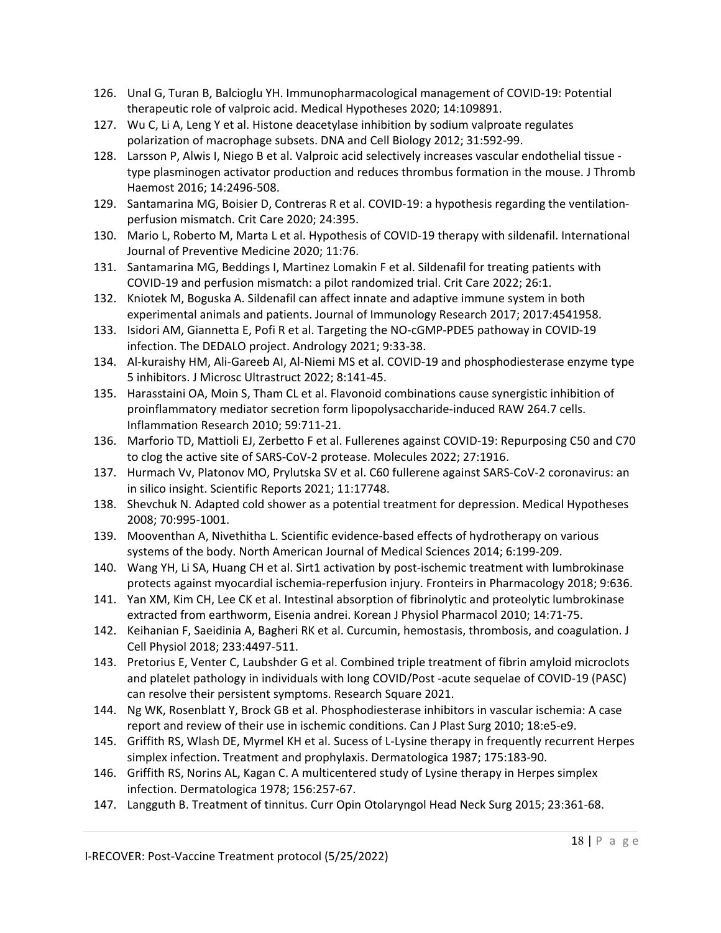- 126. Unal G, Turan B, Balcioglu YH. Immunopharmacological management of COVID-19: Potential therapeutic role of valproic acid. Medical Hypotheses 2020; 14:109891.
- 127. Wu C, Li A, Leng Y et al. Histone deacetylase inhibition by sodium valproate regulates polarization of macrophage subsets. DNA and Cell Biology 2012; 31:592-99.
- 128. Larsson P, Alwis I, Niego B et al. Valproic acid selectively increases vascular endothelial tissue type plasminogen activator production and reduces thrombus formation in the mouse. J Thromb Haemost 2016; 14:2496-508.
- 129. Santamarina MG, Boisier D, Contreras R et al. COVID-19: a hypothesis regarding the ventilationperfusion mismatch. Crit Care 2020; 24:395.
- 130. Mario L, Roberto M, Marta L et al. Hypothesis of COVID-19 therapy with sildenafil. International Journal of Preventive Medicine 2020; 11:76.
- 131. Santamarina MG, Beddings I, Martinez Lomakin F et al. Sildenafil for treating patients with COVID-19 and perfusion mismatch: a pilot randomized trial. Crit Care 2022; 26:1.
- 132. Kniotek M, Boguska A. Sildenafil can affect innate and adaptive immune system in both experimental animals and patients. Journal of Immunology Research 2017; 2017:4541958.
- 133. Isidori AM, Giannetta E, Pofi R et al. Targeting the NO-cGMP-PDE5 pathoway in COVID-19 infection. The DEDALO project. Andrology 2021; 9:33-38.
- 134. Al-kuraishy HM, Ali-Gareeb AI, Al-Niemi MS et al. COVID-19 and phosphodiesterase enzyme type 5 inhibitors. J Microsc Ultrastruct 2022; 8:141-45.
- 135. Harasstaini OA, Moin S, Tham CL et al. Flavonoid combinations cause synergistic inhibition of proinflammatory mediator secretion form lipopolysaccharide-induced RAW 264.7 cells. Inflammation Research 2010; 59:711-21.
- 136. Marforio TD, Mattioli EJ, Zerbetto F et al. Fullerenes against COVID-19: Repurposing C50 and C70 to clog the active site of SARS-CoV-2 protease. Molecules 2022; 27:1916.
- 137. Hurmach Vv, Platonov MO, Prylutska SV et al. C60 fullerene against SARS-CoV-2 coronavirus: an in silico insight. Scientific Reports 2021; 11:17748.
- 138. Shevchuk N. Adapted cold shower as a potential treatment for depression. Medical Hypotheses 2008; 70:995-1001.
- 139. Mooventhan A, Nivethitha L. Scientific evidence-based effects of hydrotherapy on various systems of the body. North American Journal of Medical Sciences 2014; 6:199-209.
- 140. Wang YH, Li SA, Huang CH et al. Sirt1 activation by post-ischemic treatment with lumbrokinase protects against myocardial ischemia-reperfusion injury. Fronteirs in Pharmacology 2018; 9:636.
- 141. Yan XM, Kim CH, Lee CK et al. Intestinal absorption of fibrinolytic and proteolytic lumbrokinase extracted from earthworm, Eisenia andrei. Korean J Physiol Pharmacol 2010; 14:71-75.
- 142. Keihanian F, Saeidinia A, Bagheri RK et al. Curcumin, hemostasis, thrombosis, and coagulation. J Cell Physiol 2018; 233:4497-511.
- 143. Pretorius E, Venter C, Laubshder G et al. Combined triple treatment of fibrin amyloid microclots and platelet pathology in individuals with long COVID/Post -acute sequelae of COVID-19 (PASC) can resolve their persistent symptoms. Research Square 2021.
- 144. Ng WK, Rosenblatt Y, Brock GB et al. Phosphodiesterase inhibitors in vascular ischemia: A case report and review of their use in ischemic conditions. Can J Plast Surg 2010; 18:e5-e9.
- 145. Griffith RS, Wlash DE, Myrmel KH et al. Sucess of L-Lysine therapy in frequently recurrent Herpes simplex infection. Treatment and prophylaxis. Dermatologica 1987; 175:183-90.
- 146. Griffith RS, Norins AL, Kagan C. A multicentered study of Lysine therapy in Herpes simplex infection. Dermatologica 1978; 156:257-67.
- 147. Langguth B. Treatment of tinnitus. Curr Opin Otolaryngol Head Neck Surg 2015; 23:361-68.